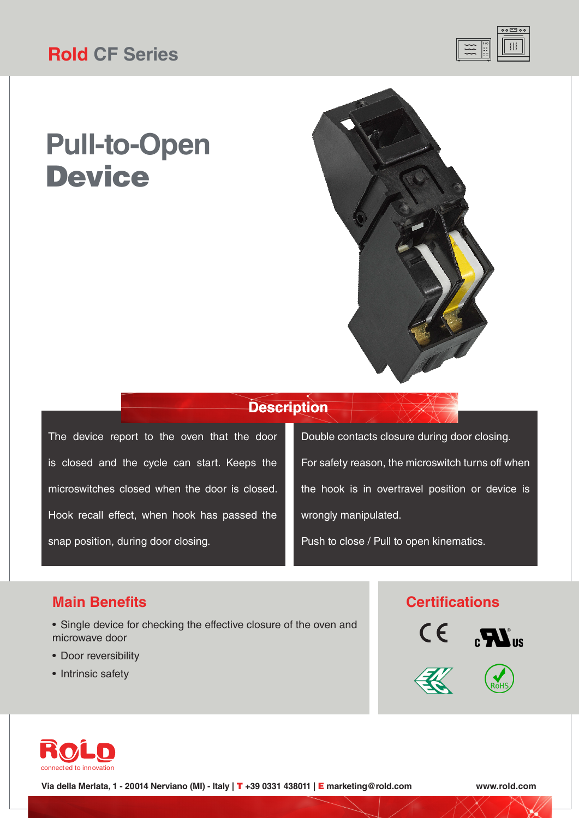

# **Pull-to-Open Device**



### **Description**

The device report to the oven that the door is closed and the cycle can start. Keeps the microswitches closed when the door is closed. Hook recall effect, when hook has passed the snap position, during door closing.

Double contacts closure during door closing. For safety reason, the microswitch turns off when the hook is in overtravel position or device is wrongly manipulated.

Push to close / Pull to open kinematics.

#### **Main Benefits**

- Single device for checking the effective closure of the oven and microwave door
- Door reversibility
- Intrinsic safety

#### **Certifications**